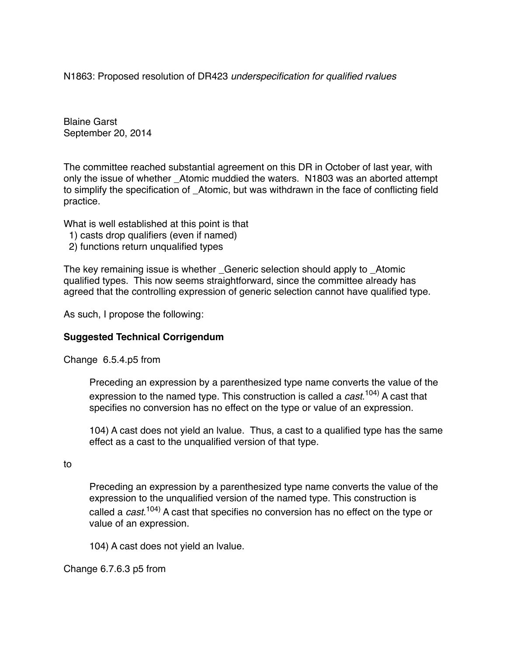N1863: Proposed resolution of DR423 *underspecification for qualified rvalues*

Blaine Garst September 20, 2014

The committee reached substantial agreement on this DR in October of last year, with only the issue of whether Atomic muddied the waters. N1803 was an aborted attempt to simplify the specification of Atomic, but was withdrawn in the face of conflicting field practice.

What is well established at this point is that

- 1) casts drop qualifiers (even if named)
- 2) functions return unqualified types

The key remaining issue is whether \_Generic selection should apply to \_Atomic qualified types. This now seems straightforward, since the committee already has agreed that the controlling expression of generic selection cannot have qualified type.

As such, I propose the following:

## **Suggested Technical Corrigendum**

Change 6.5.4.p5 from

Preceding an expression by a parenthesized type name converts the value of the expression to the named type. This construction is called a *cast*. 104) A cast that specifies no conversion has no effect on the type or value of an expression.

104) A cast does not yield an lvalue. Thus, a cast to a qualified type has the same effect as a cast to the unqualified version of that type.

to

Preceding an expression by a parenthesized type name converts the value of the expression to the unqualified version of the named type. This construction is called a *cast*. 104) A cast that specifies no conversion has no effect on the type or value of an expression.

104) A cast does not yield an lvalue.

Change 6.7.6.3 p5 from